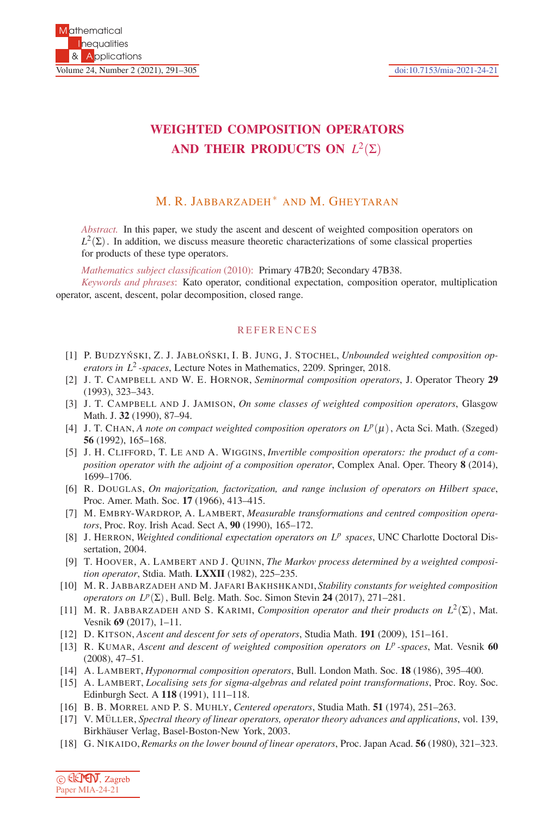## **WEIGHTED COMPOSITION OPERATORS AND THEIR PRODUCTS ON** *L*2(Σ)

## M. R. JABBARZADEH ∗ AND M. GHEYTARAN

*Abstract.* In this paper, we study the ascent and descent of weighted composition operators on  $L^2(\Sigma)$ . In addition, we discuss measure theoretic characterizations of some classical properties for products of these type operators.

*Mathematics subject classification* (2010): Primary 47B20; Secondary 47B38.

*Keywords and phrases*: Kato operator, conditional expectation, composition operator, multiplication operator, ascent, descent, polar decomposition, closed range.

## **REFERENCES**

- [1] P. BUDZYŃSKI, Z. J. JABŁOŃSKI, I. B. JUNG, J. STOCHEL, *Unbounded weighted composition operators in L*<sup>2</sup> *-spaces*, Lecture Notes in Mathematics, 2209. Springer, 2018.
- [2] J. T. CAMPBELL AND W. E. HORNOR, *Seminormal composition operators*, J. Operator Theory **29** (1993), 323–343.
- [3] J. T. CAMPBELL AND J. JAMISON, *On some classes of weighted composition operators*, Glasgow Math. J. **32** (1990), 87–94.
- [4] J. T. CHAN, *A note on compact weighted composition operators on*  $L^p(\mu)$ , Acta Sci. Math. (Szeged) **56** (1992), 165–168.
- [5] J. H. CLIFFORD, T. LE AND A. WIGGINS, *Invertible composition operators: the product of a composition operator with the adjoint of a composition operator*, Complex Anal. Oper. Theory **8** (2014), 1699–1706.
- [6] R. DOUGLAS, *On majorization, factorization, and range inclusion of operators on Hilbert space*, Proc. Amer. Math. Soc. **17** (1966), 413–415.
- [7] M. EMBRY-WARDROP, A. LAMBERT, *Measurable transformations and centred composition operators*, Proc. Roy. Irish Acad. Sect A, **90** (1990), 165–172.
- [8] J. HERRON, *Weighted conditional expectation operators on L<sup>p</sup> spaces*, UNC Charlotte Doctoral Dissertation, 2004.
- [9] T. HOOVER, A. LAMBERT AND J. QUINN, *The Markov process determined by a weighted composition operator*, Stdia. Math. **LXXII** (1982), 225–235.
- [10] M. R. JABBARZADEH AND M. JAFARI BAKHSHKANDI, *Stability constants for weighted composition operators on Lp*(Σ), Bull. Belg. Math. Soc. Simon Stevin **24** (2017), 271–281.
- [11] M. R. JABBARZADEH AND S. KARIMI, *Composition operator and their products on L*2(Σ), Mat. Vesnik **69** (2017), 1–11.
- [12] D. KITSON, *Ascent and descent for sets of operators*, Studia Math. **191** (2009), 151–161.
- [13] R. KUMAR, *Ascent and descent of weighted composition operators on L<sup>p</sup> -spaces*, Mat. Vesnik **60** (2008), 47–51.
- [14] A. LAMBERT, *Hyponormal composition operators*, Bull. London Math. Soc. **18** (1986), 395–400.
- [15] A. LAMBERT, *Localising sets for sigma-algebras and related point transformations*, Proc. Roy. Soc. Edinburgh Sect. A **118** (1991), 111–118.
- [16] B. B. MORREL AND P. S. MUHLY, *Centered operators*, Studia Math. **51** (1974), 251–263.
- [17] V. MÜLLER, Spectral theory of linear operators, operator theory advances and applications, vol. 139, Birkhäuser Verlag, Basel-Boston-New York, 2003.
- [18] G. NIKAIDO, *Remarks on the lower bound of linear operators*, Proc. Japan Acad. **56** (1980), 321–323.